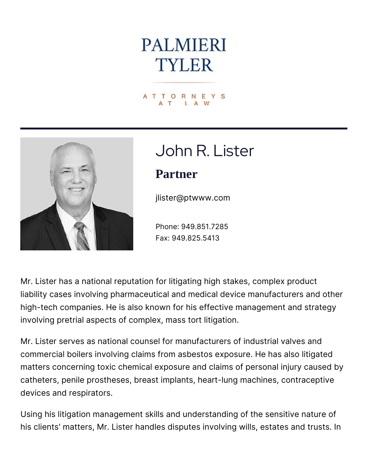# **PALMIERI TYLER**

ATTORNEYS LA



# John R. Lister

#### **Partner**

jlister@ptwww.com

Phone: 949.851.7285 Fax: 949.825.5413

Mr. Lister has a national reputation for litigating high stakes, complex product liability cases involving pharmaceutical and medical device manufacturers and other high-tech companies. He is also known for his effective management and strategy involving pretrial aspects of complex, mass tort litigation.

Mr. Lister serves as national counsel for manufacturers of industrial valves and commercial boilers involving claims from asbestos exposure. He has also litigated matters concerning toxic chemical exposure and claims of personal injury caused by catheters, penile prostheses, breast implants, heart-lung machines, contraceptive devices and respirators.

Using his litigation management skills and understanding of the sensitive nature of his clients' matters, Mr. Lister handles disputes involving wills, estates and trusts. In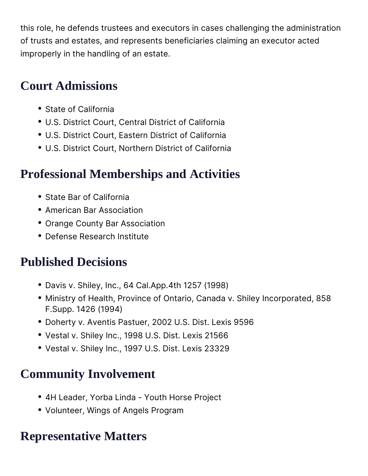this role, he defends trustees and executors in cases challenging the administration of trusts and estates, and represents beneficiaries claiming an executor acted improperly in the handling of an estate.

#### **Court Admissions**

- State of California
- U.S. District Court, Central District of California
- U.S. District Court, Eastern District of California
- U.S. District Court, Northern District of California

# **Professional Memberships and Activities**

- State Bar of California
- **American Bar Association**
- Orange County Bar Association
- Defense Research Institute

# **Published Decisions**

- Davis v. Shiley, Inc., 64 Cal.App.4th 1257 (1998)
- Ministry of Health, Province of Ontario, Canada v. Shiley Incorporated, 858 F.Supp. 1426 (1994)
- Doherty v. Aventis Pastuer, 2002 U.S. Dist. Lexis 9596
- Vestal v. Shiley Inc., 1998 U.S. Dist. Lexis 21566
- Vestal v. Shiley Inc., 1997 U.S. Dist. Lexis 23329

# **Community Involvement**

- 4H Leader, Yorba Linda Youth Horse Project
- Volunteer, Wings of Angels Program

# **Representative Matters**